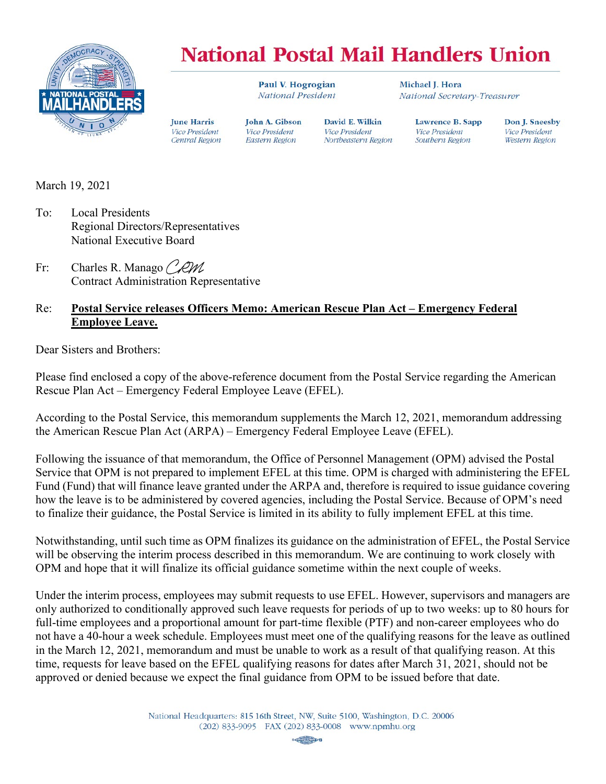

## **National Postal Mail Handlers Union**

David E. Wilkin

Northeastern Region

**Vice President** 

Paul V. Hogrogian National President

John A. Gibson

**Vice President** 

Eastern Region

Michael I. Hora National Secretary-Treasurer

> Lawrence B. Sapp **Vice President** Southern Region

Don J. Sneesby **Vice President Western Region** 

March 19, 2021

To: Local Presidents Regional Directors/Representatives National Executive Board

**Iune Harris** 

**Vice President** 

Central Region

Fr: Charles R. Manago CRM Contract Administration Representative

## Re: **Postal Service releases Officers Memo: American Rescue Plan Act – Emergency Federal Employee Leave.**

Dear Sisters and Brothers:

Please find enclosed a copy of the above-reference document from the Postal Service regarding the American Rescue Plan Act – Emergency Federal Employee Leave (EFEL).

According to the Postal Service, this memorandum supplements the March 12, 2021, memorandum addressing the American Rescue Plan Act (ARPA) – Emergency Federal Employee Leave (EFEL).

Following the issuance of that memorandum, the Office of Personnel Management (OPM) advised the Postal Service that OPM is not prepared to implement EFEL at this time. OPM is charged with administering the EFEL Fund (Fund) that will finance leave granted under the ARPA and, therefore is required to issue guidance covering how the leave is to be administered by covered agencies, including the Postal Service. Because of OPM's need to finalize their guidance, the Postal Service is limited in its ability to fully implement EFEL at this time.

Notwithstanding, until such time as OPM finalizes its guidance on the administration of EFEL, the Postal Service will be observing the interim process described in this memorandum. We are continuing to work closely with OPM and hope that it will finalize its official guidance sometime within the next couple of weeks.

Under the interim process, employees may submit requests to use EFEL. However, supervisors and managers are only authorized to conditionally approved such leave requests for periods of up to two weeks: up to 80 hours for full-time employees and a proportional amount for part-time flexible (PTF) and non-career employees who do not have a 40-hour a week schedule. Employees must meet one of the qualifying reasons for the leave as outlined in the March 12, 2021, memorandum and must be unable to work as a result of that qualifying reason. At this time, requests for leave based on the EFEL qualifying reasons for dates after March 31, 2021, should not be approved or denied because we expect the final guidance from OPM to be issued before that date.

> National Headquarters: 815 16th Street, NW, Suite 5100, Washington, D.C. 20006 (202) 833-9095 FAX (202) 833-0008 www.npmhu.org

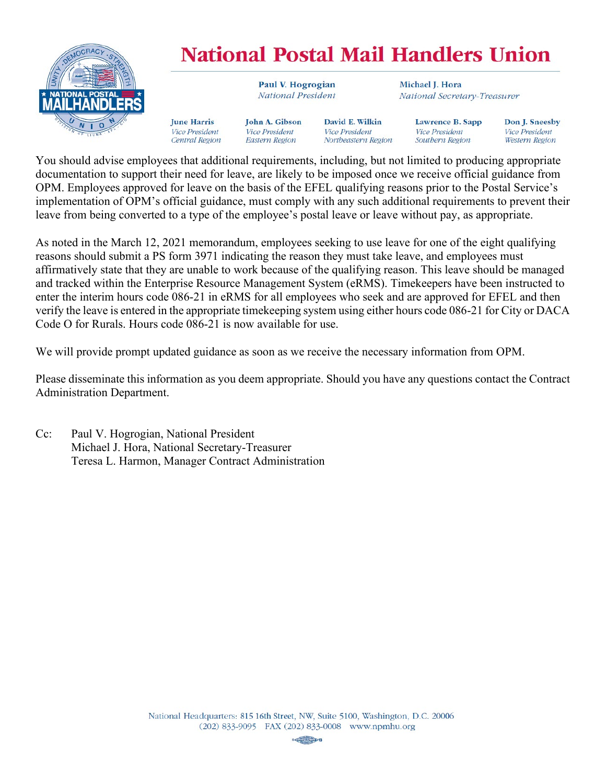

## **National Postal Mail Handlers Union**

Paul V. Hogrogian National President

**John A. Gibson** Vice President **Eastern Region** 

**Iune Harris** 

Vice President

Central Region

David E. Wilkin **Vice President** Northeastern Region

Michael I. Hora National Secretary-Treasurer

> Lawrence B. Sapp **Vice President** Southern Region

Don J. Sneesby **Vice President Western Region** 

You should advise employees that additional requirements, including, but not limited to producing appropriate documentation to support their need for leave, are likely to be imposed once we receive official guidance from OPM. Employees approved for leave on the basis of the EFEL qualifying reasons prior to the Postal Service's implementation of OPM's official guidance, must comply with any such additional requirements to prevent their leave from being converted to a type of the employee's postal leave or leave without pay, as appropriate.

As noted in the March 12, 2021 memorandum, employees seeking to use leave for one of the eight qualifying reasons should submit a PS form 3971 indicating the reason they must take leave, and employees must affirmatively state that they are unable to work because of the qualifying reason. This leave should be managed and tracked within the Enterprise Resource Management System (eRMS). Timekeepers have been instructed to enter the interim hours code 086-21 in eRMS for all employees who seek and are approved for EFEL and then verify the leave is entered in the appropriate timekeeping system using either hours code 086-21 for City or DACA Code O for Rurals. Hours code 086-21 is now available for use.

We will provide prompt updated guidance as soon as we receive the necessary information from OPM.

Please disseminate this information as you deem appropriate. Should you have any questions contact the Contract Administration Department.

Cc: Paul V. Hogrogian, National President Michael J. Hora, National Secretary-Treasurer Teresa L. Harmon, Manager Contract Administration

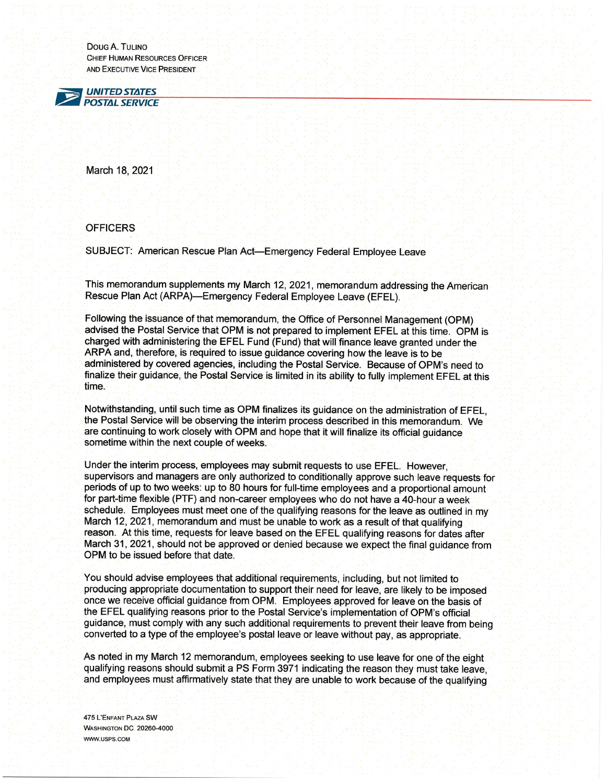DOUG A. TULINO **CHIEF HUMAN RESOURCES OFFICER** AND EXECUTIVE VICE PRESIDENT



March 18, 2021

## **OFFICERS**

SUBJECT: American Rescue Plan Act-Emergency Federal Employee Leave

This memorandum supplements my March 12, 2021, memorandum addressing the American Rescue Plan Act (ARPA)—Emergency Federal Employee Leave (EFEL).

Following the issuance of that memorandum, the Office of Personnel Management (OPM) advised the Postal Service that OPM is not prepared to implement EFEL at this time. OPM is charged with administering the EFEL Fund (Fund) that will finance leave granted under the ARPA and, therefore, is required to issue guidance covering how the leave is to be administered by covered agencies, including the Postal Service. Because of OPM's need to finalize their guidance, the Postal Service is limited in its ability to fully implement EFEL at this time.

Notwithstanding, until such time as OPM finalizes its guidance on the administration of EFEL. the Postal Service will be observing the interim process described in this memorandum. We are continuing to work closely with OPM and hope that it will finalize its official guidance sometime within the next couple of weeks.

Under the interim process, employees may submit requests to use EFEL. However, supervisors and managers are only authorized to conditionally approve such leave requests for periods of up to two weeks: up to 80 hours for full-time employees and a proportional amount for part-time flexible (PTF) and non-career employees who do not have a 40-hour a week schedule. Employees must meet one of the qualifying reasons for the leave as outlined in my March 12, 2021, memorandum and must be unable to work as a result of that qualifying reason. At this time, requests for leave based on the EFEL qualifying reasons for dates after March 31, 2021, should not be approved or denied because we expect the final quidance from OPM to be issued before that date.

You should advise employees that additional requirements, including, but not limited to producing appropriate documentation to support their need for leave, are likely to be imposed once we receive official quidance from OPM. Employees approved for leave on the basis of the EFEL qualifying reasons prior to the Postal Service's implementation of OPM's official quidance, must comply with any such additional requirements to prevent their leave from being converted to a type of the employee's postal leave or leave without pay, as appropriate.

As noted in my March 12 memorandum, employees seeking to use leave for one of the eight qualifying reasons should submit a PS Form 3971 indicating the reason they must take leave, and employees must affirmatively state that they are unable to work because of the qualifying

**475 L'ENFANT PLAZA SW** WASHINGTON DC 20260-4000 WWW.USPS.COM